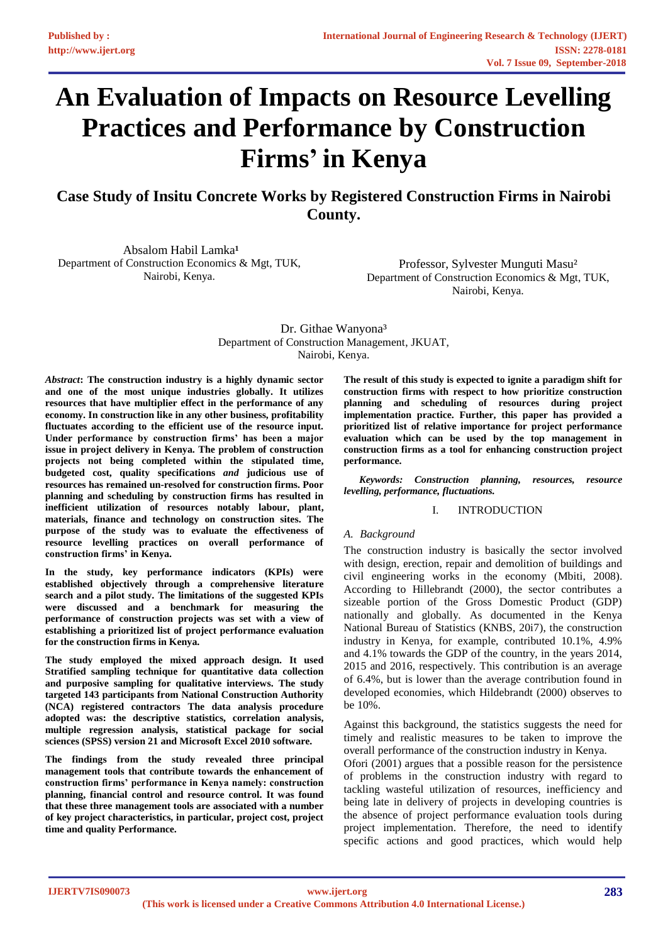# **[An Evaluation of Impacts on Resource Levelling](https://www.ijert.org/cfp)  Practices and Performance by Construction Firms' in Kenya**

**Case Study of Insitu Concrete Works by Registered Construction Firms in Nairobi County.**

Absalom Habil Lamka**¹** Department of Construction Economics & Mgt, TUK, Nairobi, Kenya.

Professor, Sylvester Munguti Masu² Department of Construction Economics & Mgt, TUK, Nairobi, Kenya.

Dr. Githae Wanyona<sup>3</sup> Department of Construction Management, JKUAT, Nairobi, Kenya.

*Abstract***: The construction industry is a highly dynamic sector and one of the most unique industries globally. It utilizes resources that have multiplier effect in the performance of any economy. In construction like in any other business, profitability fluctuates according to the efficient use of the resource input. Under performance by construction firms' has been a major issue in project delivery in Kenya. The problem of construction projects not being completed within the stipulated time, budgeted cost, quality specifications** *and* **judicious use of resources has remained un-resolved for construction firms. Poor planning and scheduling by construction firms has resulted in inefficient utilization of resources notably labour, plant, materials, finance and technology on construction sites. The purpose of the study was to evaluate the effectiveness of resource levelling practices on overall performance of construction firms' in Kenya.**

**In the study, key performance indicators (KPIs) were established objectively through a comprehensive literature search and a pilot study. The limitations of the suggested KPIs were discussed and a benchmark for measuring the performance of construction projects was set with a view of establishing a prioritized list of project performance evaluation for the construction firms in Kenya.**

**The study employed the mixed approach design. It used Stratified sampling technique for quantitative data collection and purposive sampling for qualitative interviews. The study targeted 143 participants from National Construction Authority (NCA) registered contractors The data analysis procedure adopted was: the descriptive statistics, correlation analysis, multiple regression analysis, statistical package for social sciences (SPSS) version 21 and Microsoft Excel 2010 software.** 

**The findings from the study revealed three principal management tools that contribute towards the enhancement of construction firms' performance in Kenya namely: construction planning, financial control and resource control. It was found that these three management tools are associated with a number of key project characteristics, in particular, project cost, project time and quality Performance.**

**The result of this study is expected to ignite a paradigm shift for construction firms with respect to how prioritize construction planning and scheduling of resources during project implementation practice. Further, this paper has provided a prioritized list of relative importance for project performance evaluation which can be used by the top management in construction firms as a tool for enhancing construction project performance.**

*Keywords: Construction planning, resources, resource levelling, performance, fluctuations.*

#### I. INTRODUCTION

#### *A. Background*

The construction industry is basically the sector involved with design, erection, repair and demolition of buildings and civil engineering works in the economy (Mbiti, 2008). According to Hillebrandt (2000), the sector contributes a sizeable portion of the Gross Domestic Product (GDP) nationally and globally. As documented in the Kenya National Bureau of Statistics (KNBS, 20i7), the construction industry in Kenya, for example, contributed 10.1%, 4.9% and 4.1% towards the GDP of the country, in the years 2014, 2015 and 2016, respectively. This contribution is an average of 6.4%, but is lower than the average contribution found in developed economies, which Hildebrandt (2000) observes to be 10%.

Against this background, the statistics suggests the need for timely and realistic measures to be taken to improve the overall performance of the construction industry in Kenya.

Ofori (2001) argues that a possible reason for the persistence of problems in the construction industry with regard to tackling wasteful utilization of resources, inefficiency and being late in delivery of projects in developing countries is the absence of project performance evaluation tools during project implementation. Therefore, the need to identify specific actions and good practices, which would help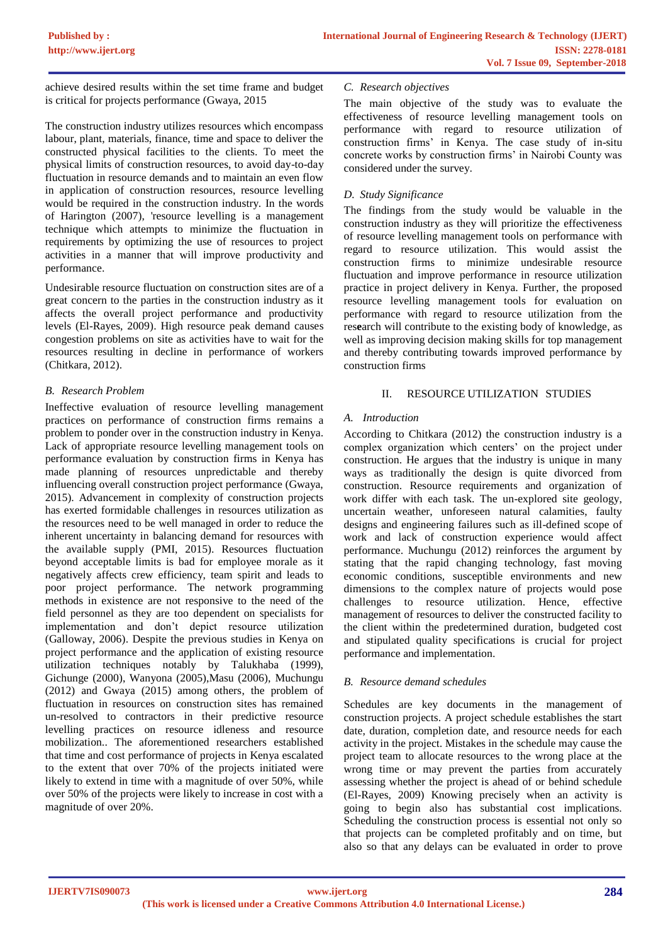achieve desired results within the set time frame and budget is critical for projects performance (Gwaya, 2015

The construction industry utilizes resources which encompass labour, plant, materials, finance, time and space to deliver the constructed physical facilities to the clients. To meet the physical limits of construction resources, to avoid day-to-day fluctuation in resource demands and to maintain an even flow in application of construction resources, resource levelling would be required in the construction industry. In the words of Harington (2007), 'resource levelling is a management technique which attempts to minimize the fluctuation in requirements by optimizing the use of resources to project activities in a manner that will improve productivity and performance.

Undesirable resource fluctuation on construction sites are of a great concern to the parties in the construction industry as it affects the overall project performance and productivity levels (El-Rayes, 2009). High resource peak demand causes congestion problems on site as activities have to wait for the resources resulting in decline in performance of workers (Chitkara, 2012).

# *B. Research Problem*

Ineffective evaluation of resource levelling management practices on performance of construction firms remains a problem to ponder over in the construction industry in Kenya. Lack of appropriate resource levelling management tools on performance evaluation by construction firms in Kenya has made planning of resources unpredictable and thereby influencing overall construction project performance (Gwaya, 2015). Advancement in complexity of construction projects has exerted formidable challenges in resources utilization as the resources need to be well managed in order to reduce the inherent uncertainty in balancing demand for resources with the available supply (PMI, 2015). Resources fluctuation beyond acceptable limits is bad for employee morale as it negatively affects crew efficiency, team spirit and leads to poor project performance. The network programming methods in existence are not responsive to the need of the field personnel as they are too dependent on specialists for implementation and don't depict resource utilization (Galloway, 2006). Despite the previous studies in Kenya on project performance and the application of existing resource utilization techniques notably by Talukhaba (1999), Gichunge (2000), Wanyona (2005),Masu (2006), Muchungu (2012) and Gwaya (2015) among others, the problem of fluctuation in resources on construction sites has remained un-resolved to contractors in their predictive resource levelling practices on resource idleness and resource mobilization.. The aforementioned researchers established that time and cost performance of projects in Kenya escalated to the extent that over 70% of the projects initiated were likely to extend in time with a magnitude of over 50%, while over 50% of the projects were likely to increase in cost with a magnitude of over 20%.

# *C. Research objectives*

The main objective of the study was to evaluate the effectiveness of resource levelling management tools on performance with regard to resource utilization of construction firms' in Kenya. The case study of in-situ concrete works by construction firms' in Nairobi County was considered under the survey.

# *D. Study Significance*

The findings from the study would be valuable in the construction industry as they will prioritize the effectiveness of resource levelling management tools on performance with regard to resource utilization. This would assist the construction firms to minimize undesirable resource fluctuation and improve performance in resource utilization practice in project delivery in Kenya. Further, the proposed resource levelling management tools for evaluation on performance with regard to resource utilization from the res**e**arch will contribute to the existing body of knowledge, as well as improving decision making skills for top management and thereby contributing towards improved performance by construction firms

### II. RESOURCE UTILIZATION STUDIES

### *A. Introduction*

According to Chitkara (2012) the construction industry is a complex organization which centers' on the project under construction. He argues that the industry is unique in many ways as traditionally the design is quite divorced from construction. Resource requirements and organization of work differ with each task. The un-explored site geology, uncertain weather, unforeseen natural calamities, faulty designs and engineering failures such as ill-defined scope of work and lack of construction experience would affect performance. Muchungu (2012) reinforces the argument by stating that the rapid changing technology, fast moving economic conditions, susceptible environments and new dimensions to the complex nature of projects would pose challenges to resource utilization. Hence, effective management of resources to deliver the constructed facility to the client within the predetermined duration, budgeted cost and stipulated quality specifications is crucial for project performance and implementation.

### *B. Resource demand schedules*

Schedules are key documents in the management of construction projects. A project schedule establishes the start date, duration, completion date, and resource needs for each activity in the project. Mistakes in the schedule may cause the project team to allocate resources to the wrong place at the wrong time or may prevent the parties from accurately assessing whether the project is ahead of or behind schedule (El-Rayes, 2009) Knowing precisely when an activity is going to begin also has substantial cost implications. Scheduling the construction process is essential not only so that projects can be completed profitably and on time, but also so that any delays can be evaluated in order to prove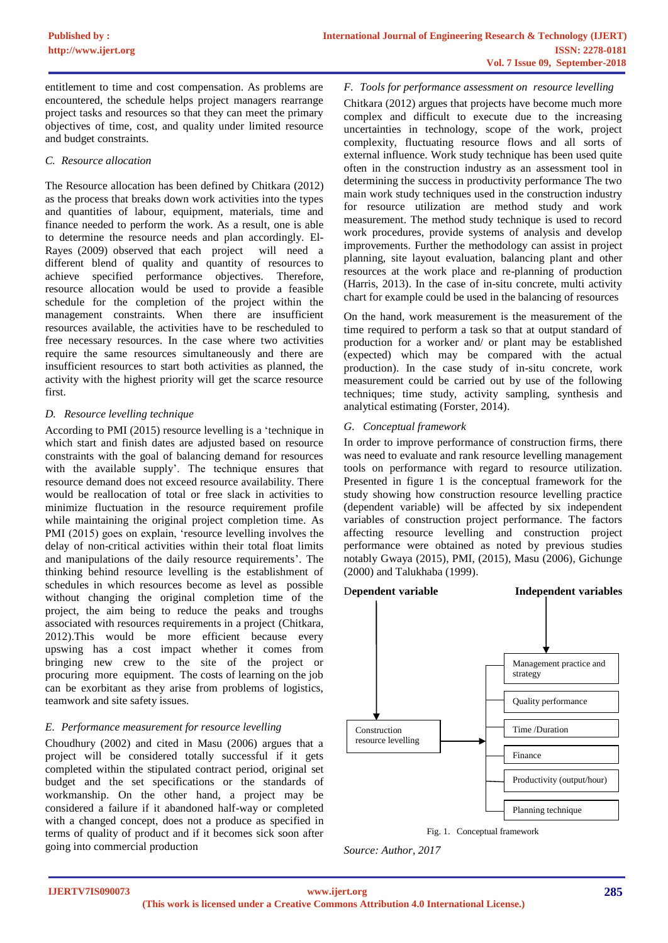entitlement to time and cost compensation. As problems are encountered, the schedule helps project managers rearrange project tasks and resources so that they can meet the primary objectives of time, cost, and quality under limited resource and budget constraints.

#### *C. Resource allocation*

The Resource allocation has been defined by Chitkara (2012) as the process that breaks down work activities into the types and quantities of labour, equipment, materials, time and finance needed to perform the work. As a result, one is able to determine the resource needs and plan accordingly. El-Rayes (2009) observed that each project will need a different blend of quality and quantity of resources to achieve specified performance objectives. Therefore, resource allocation would be used to provide a feasible schedule for the completion of the project within the management constraints. When there are insufficient resources available, the activities have to be rescheduled to free necessary resources. In the case where two activities require the same resources simultaneously and there are insufficient resources to start both activities as planned, the activity with the highest priority will get the scarce resource first.

# *D. Resource levelling technique*

According to PMI (2015) resource levelling is a 'technique in which start and finish dates are adjusted based on resource constraints with the goal of balancing demand for resources with the available supply'. The technique ensures that resource demand does not exceed resource availability. There would be reallocation of total or free slack in activities to minimize fluctuation in the resource requirement profile while maintaining the original project completion time. As PMI (2015) goes on explain, 'resource levelling involves the delay of non-critical activities within their total float limits and manipulations of the daily resource requirements'. The thinking behind resource levelling is the establishment of schedules in which resources become as level as possible without changing the original completion time of the project, the aim being to reduce the peaks and troughs associated with resources requirements in a project (Chitkara, 2012).This would be more efficient because every upswing has a cost impact whether it comes from bringing new crew to the site of the project or procuring more equipment. The costs of learning on the job can be exorbitant as they arise from problems of logistics, teamwork and site safety issues.

# *E. Performance measurement for resource levelling*

Choudhury (2002) and cited in Masu (2006) argues that a project will be considered totally successful if it gets completed within the stipulated contract period, original set budget and the set specifications or the standards of workmanship. On the other hand, a project may be considered a failure if it abandoned half-way or completed with a changed concept, does not a produce as specified in terms of quality of product and if it becomes sick soon after going into commercial production

## *F. Tools for performance assessment on resource levelling*

Chitkara (2012) argues that projects have become much more complex and difficult to execute due to the increasing uncertainties in technology, scope of the work, project complexity, fluctuating resource flows and all sorts of external influence. Work study technique has been used quite often in the construction industry as an assessment tool in determining the success in productivity performance The two main work study techniques used in the construction industry for resource utilization are method study and work measurement. The method study technique is used to record work procedures, provide systems of analysis and develop improvements. Further the methodology can assist in project planning, site layout evaluation, balancing plant and other resources at the work place and re-planning of production (Harris, 2013). In the case of in-situ concrete, multi activity chart for example could be used in the balancing of resources

On the hand, work measurement is the measurement of the time required to perform a task so that at output standard of production for a worker and/ or plant may be established (expected) which may be compared with the actual production). In the case study of in-situ concrete, work measurement could be carried out by use of the following techniques; time study, activity sampling, synthesis and analytical estimating (Forster, 2014).

### *G. Conceptual framework*

In order to improve performance of construction firms, there was need to evaluate and rank resource levelling management tools on performance with regard to resource utilization. Presented in figure 1 is the conceptual framework for the study showing how construction resource levelling practice (dependent variable) will be affected by six independent variables of construction project performance. The factors affecting resource levelling and construction project performance were obtained as noted by previous studies notably Gwaya (2015), PMI, (2015), Masu (2006), Gichunge (2000) and Talukhaba (1999).

D**ependent variable Independent variables**





*Source: Author, 2017*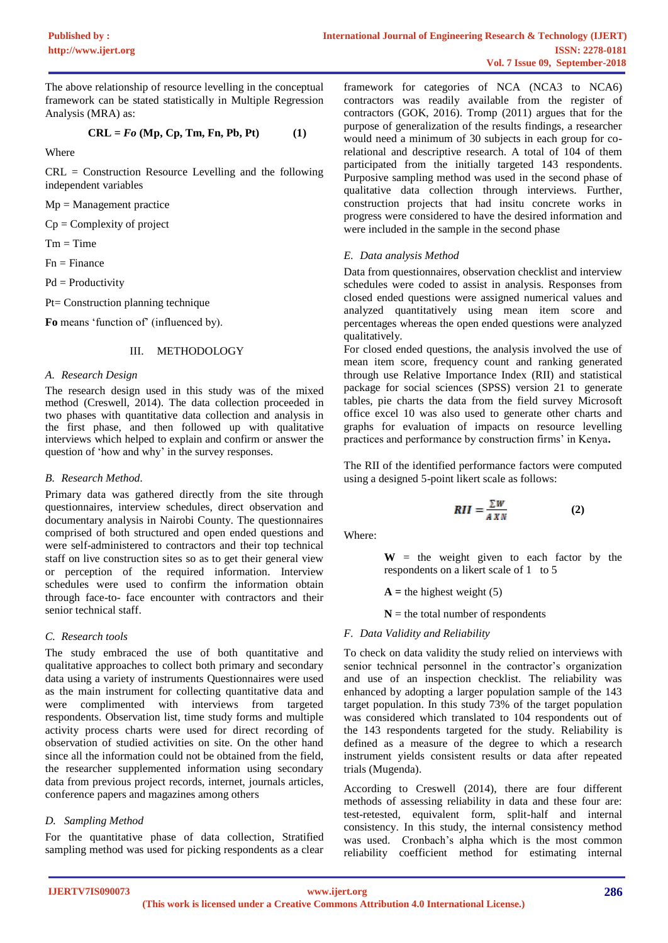The above relationship of resource levelling in the conceptual framework can be stated statistically in Multiple Regression Analysis (MRA) as:

$$
CRL = Fo (Mp, Cp, Tm, Fn, Pb, Pt)
$$
 (1)

Where

 $CRL = Construction$  Resource Levelling and the following independent variables

 $Mp =$ Management practice

 $Cp =$  Complexity of project

 $Tm = Time$ 

 $Fn = Finance$ 

 $Pd = Productivity$ 

Pt= Construction planning technique

**Fo** means 'function of' (influenced by).

# III. METHODOLOGY

#### *A. Research Design*

The research design used in this study was of the mixed method (Creswell, 2014). The data collection proceeded in two phases with quantitative data collection and analysis in the first phase, and then followed up with qualitative interviews which helped to explain and confirm or answer the question of 'how and why' in the survey responses.

### *B. Research Method.*

Primary data was gathered directly from the site through questionnaires, interview schedules, direct observation and documentary analysis in Nairobi County. The questionnaires comprised of both structured and open ended questions and were self-administered to contractors and their top technical staff on live construction sites so as to get their general view or perception of the required information. Interview schedules were used to confirm the information obtain through face-to- face encounter with contractors and their senior technical staff.

### *C. Research tools*

The study embraced the use of both quantitative and qualitative approaches to collect both primary and secondary data using a variety of instruments Questionnaires were used as the main instrument for collecting quantitative data and were complimented with interviews from targeted respondents. Observation list, time study forms and multiple activity process charts were used for direct recording of observation of studied activities on site. On the other hand since all the information could not be obtained from the field, the researcher supplemented information using secondary data from previous project records, internet, journals articles, conference papers and magazines among others

### *D. Sampling Method*

For the quantitative phase of data collection, Stratified sampling method was used for picking respondents as a clear

framework for categories of NCA (NCA3 to NCA6) contractors was readily available from the register of contractors (GOK, 2016). Tromp (2011) argues that for the purpose of generalization of the results findings, a researcher would need a minimum of 30 subjects in each group for corelational and descriptive research. A total of 104 of them participated from the initially targeted 143 respondents. Purposive sampling method was used in the second phase of qualitative data collection through interviews. Further, construction projects that had insitu concrete works in progress were considered to have the desired information and were included in the sample in the second phase

### *E. Data analysis Method*

Data from questionnaires, observation checklist and interview schedules were coded to assist in analysis. Responses from closed ended questions were assigned numerical values and analyzed quantitatively using mean item score and percentages whereas the open ended questions were analyzed qualitatively.

For closed ended questions, the analysis involved the use of mean item score, frequency count and ranking generated through use Relative Importance Index (RII) and statistical package for social sciences (SPSS) version 21 to generate tables, pie charts the data from the field survey Microsoft office excel 10 was also used to generate other charts and graphs for evaluation of impacts on resource levelling practices and performance by construction firms' in Kenya**.**

The RII of the identified performance factors were computed using a designed 5-point likert scale as follows:

$$
RII = \frac{\sum W}{A X N} \tag{2}
$$

Where:

 $W =$  the weight given to each factor by the respondents on a likert scale of 1 to 5

 $A =$  the highest weight (5)

 $N =$  the total number of respondents

### *F. Data Validity and Reliability*

To check on data validity the study relied on interviews with senior technical personnel in the contractor's organization and use of an inspection checklist. The reliability was enhanced by adopting a larger population sample of the 143 target population. In this study 73% of the target population was considered which translated to 104 respondents out of the 143 respondents targeted for the study. Reliability is defined as a measure of the degree to which a research instrument yields consistent results or data after repeated trials (Mugenda).

According to Creswell (2014), there are four different methods of assessing reliability in data and these four are: test-retested, equivalent form, split-half and internal consistency. In this study, the internal consistency method was used. Cronbach's alpha which is the most common reliability coefficient method for estimating internal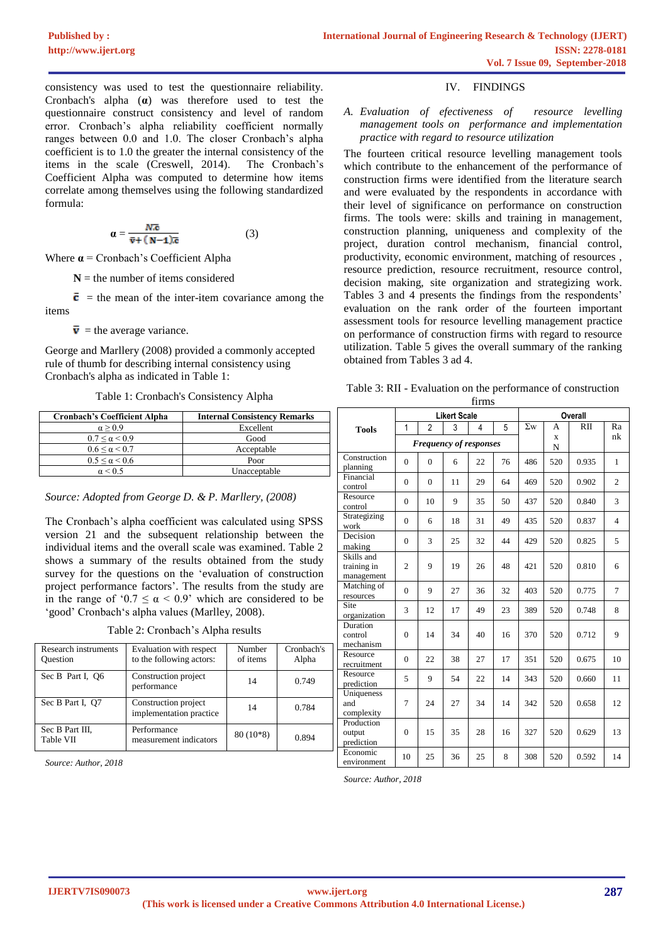consistency was used to test the questionnaire reliability. Cronbach's alpha (**α**) was therefore used to test the questionnaire construct consistency and level of random error. Cronbach's alpha reliability coefficient normally ranges between 0.0 and 1.0. The closer Cronbach's alpha coefficient is to 1.0 the greater the internal consistency of the items in the scale (Creswell, 2014). The Cronbach's Coefficient Alpha was computed to determine how items correlate among themselves using the following standardized formula:

$$
a = \frac{N\overline{c}}{\overline{v} + (N-1)\overline{c}}\tag{3}
$$

Where  $\alpha$  = Cronbach's Coefficient Alpha

 $N =$  the number of items considered

 $\bar{c}$  = the mean of the inter-item covariance among the items

 $\overline{\mathbf{v}}$  = the average variance.

George and Marllery (2008) provided a commonly accepted rule of thumb for describing internal consistency using Cronbach's alpha as indicated in Table 1:

Table 1: Cronbach's Consistency Alpha

| <b>Cronbach's Coefficient Alpha</b> | <b>Internal Consistency Remarks</b> |
|-------------------------------------|-------------------------------------|
| $\alpha > 0.9$                      | Excellent                           |
| $0.7 \le \alpha \le 0.9$            | Good                                |
| $0.6 \le \alpha \le 0.7$            | Acceptable                          |
| $0.5 \leq \alpha \leq 0.6$          | Poor                                |
| $\alpha$ < 0.5                      | Unacceptable                        |

*Source: Adopted from George D. & P. Marllery, (2008)*

The Cronbach's alpha coefficient was calculated using SPSS version 21 and the subsequent relationship between the individual items and the overall scale was examined. Table 2 shows a summary of the results obtained from the study survey for the questions on the 'evaluation of construction project performance factors'. The results from the study are in the range of '0.7  $\leq \alpha$  < 0.9' which are considered to be 'good' Cronbach's alpha values (Marlley, 2008).

Table 2: Cronbach's Alpha results

| Research instruments<br><b>Question</b> | Evaluation with respect<br>to the following actors: | Number<br>of items | Cronbach's<br>Alpha |
|-----------------------------------------|-----------------------------------------------------|--------------------|---------------------|
| Sec B Part I, O6                        | Construction project<br>performance                 | 14                 | 0.749               |
| Sec B Part I, O7                        | Construction project<br>implementation practice     | 14                 | 0.784               |
| Sec B Part III.<br>Table VII            | Performance<br>measurement indicators               | $80(10*8)$         | 0.894               |

*Source: Author, 2018*

# IV. FINDINGS

*A. Evaluation of efectiveness of resource levelling management tools on performance and implementation practice with regard to resource utilization*

The fourteen critical resource levelling management tools which contribute to the enhancement of the performance of construction firms were identified from the literature search and were evaluated by the respondents in accordance with their level of significance on performance on construction firms. The tools were: skills and training in management, construction planning, uniqueness and complexity of the project, duration control mechanism, financial control, productivity, economic environment, matching of resources , resource prediction, resource recruitment, resource control, decision making, site organization and strategizing work. Tables 3 and 4 presents the findings from the respondents' evaluation on the rank order of the fourteen important assessment tools for resource levelling management practice on performance of construction firms with regard to resource utilization. Table 5 gives the overall summary of the ranking obtained from Tables 3 ad 4.

Table 3: RII - Evaluation on the performance of construction

|                                         |                |                               |    | firms |    |            |        |       |                |
|-----------------------------------------|----------------|-------------------------------|----|-------|----|------------|--------|-------|----------------|
|                                         |                | <b>Likert Scale</b>           |    |       |    | Overall    |        |       |                |
| <b>Tools</b>                            | 1              | $\overline{2}$                | 3  | 4     | 5  | $\Sigma$ w | A      | RII   | Ra             |
|                                         |                | <b>Frequency of responses</b> |    |       |    |            | X<br>N |       | nk             |
| Construction<br>planning                | $\theta$       | $\theta$                      | 6  | 22    | 76 | 486        | 520    | 0.935 | 1              |
| Financial<br>control                    | $\theta$       | $\Omega$                      | 11 | 29    | 64 | 469        | 520    | 0.902 | $\overline{c}$ |
| Resource<br>control                     | $\theta$       | 10                            | 9  | 35    | 50 | 437        | 520    | 0.840 | 3              |
| Strategizing<br>work                    | $\theta$       | 6                             | 18 | 31    | 49 | 435        | 520    | 0.837 | $\overline{4}$ |
| Decision<br>making                      | $\theta$       | 3                             | 25 | 32    | 44 | 429        | 520    | 0.825 | 5              |
| Skills and<br>training in<br>management | $\overline{2}$ | 9                             | 19 | 26    | 48 | 421        | 520    | 0.810 | 6              |
| Matching of<br>resources                | $\Omega$       | 9                             | 27 | 36    | 32 | 403        | 520    | 0.775 | $\tau$         |
| Site<br>organization                    | 3              | 12                            | 17 | 49    | 23 | 389        | 520    | 0.748 | 8              |
| Duration<br>control<br>mechanism        | $\theta$       | 14                            | 34 | 40    | 16 | 370        | 520    | 0.712 | 9              |
| Resource<br>recruitment                 | $\theta$       | 22                            | 38 | 27    | 17 | 351        | 520    | 0.675 | 10             |
| Resource<br>prediction                  | 5              | 9                             | 54 | 22    | 14 | 343        | 520    | 0.660 | 11             |
| Uniqueness<br>and<br>complexity         | 7              | 24                            | 27 | 34    | 14 | 342        | 520    | 0.658 | 12             |
| Production<br>output<br>prediction      | $\theta$       | 15                            | 35 | 28    | 16 | 327        | 520    | 0.629 | 13             |
| Economic<br>environment                 | 10             | 25                            | 36 | 25    | 8  | 308        | 520    | 0.592 | 14             |

*Source: Author, 2018*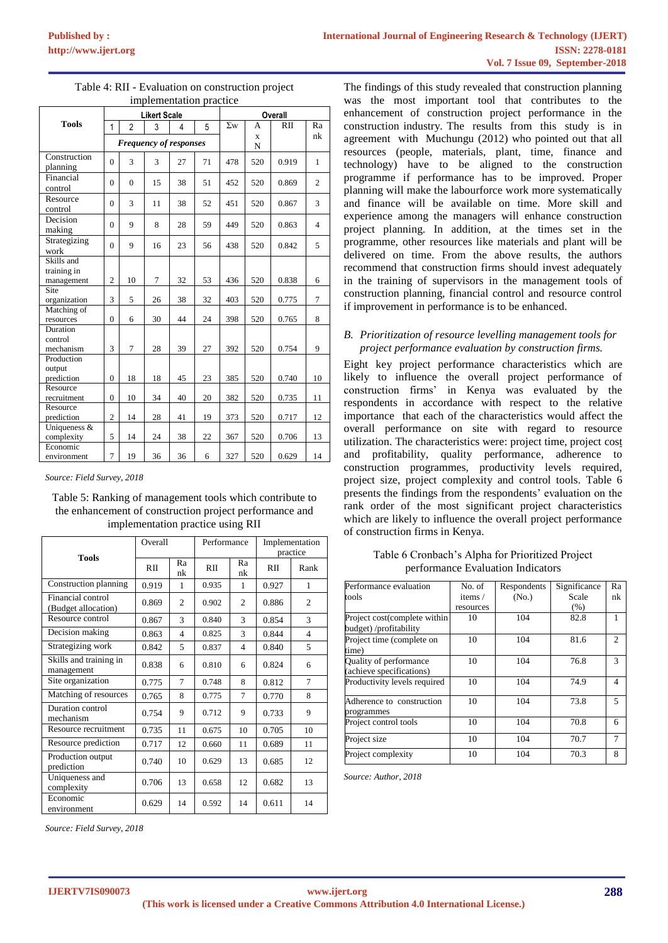| implementation practice |                |                               |    |    |         |            |     |            |                |
|-------------------------|----------------|-------------------------------|----|----|---------|------------|-----|------------|----------------|
|                         |                | <b>Likert Scale</b>           |    |    | Overall |            |     |            |                |
| <b>Tools</b>            | $\mathbf{1}$   | $\overline{2}$                | 3  | 4  | 5       | $\Sigma$ w | A   | <b>RII</b> | Ra             |
|                         |                | <b>Frequency of responses</b> |    |    |         |            | X   |            | nk             |
|                         |                |                               |    |    |         |            | N   |            |                |
| Construction            | $\theta$       | 3                             | 3  | 27 | 71      | 478        | 520 | 0.919      | $\mathbf{1}$   |
| planning                |                |                               |    |    |         |            |     |            |                |
| Financial               | $\overline{0}$ | $\mathbf{0}$                  | 15 | 38 | 51      | 452        | 520 | 0.869      | $\overline{2}$ |
| control                 |                |                               |    |    |         |            |     |            |                |
| Resource                | $\theta$       | 3                             | 11 | 38 | 52      | 451        | 520 | 0.867      | 3              |
| control                 |                |                               |    |    |         |            |     |            |                |
| Decision                | $\theta$       | 9                             | 8  | 28 | 59      | 449        | 520 | 0.863      | $\overline{4}$ |
| making                  |                |                               |    |    |         |            |     |            |                |
| Strategizing            | $\overline{0}$ | 9                             | 16 | 23 | 56      | 438        | 520 | 0.842      | 5              |
| work                    |                |                               |    |    |         |            |     |            |                |
| Skills and              |                |                               |    |    |         |            |     |            |                |
| training in             |                |                               |    |    |         |            |     |            |                |
| management              | $\overline{2}$ | 10                            | 7  | 32 | 53      | 436        | 520 | 0.838      | 6              |
| Site                    |                |                               |    |    |         |            |     |            |                |
| organization            | 3              | 5                             | 26 | 38 | 32      | 403        | 520 | 0.775      | $\tau$         |
| Matching of             |                |                               |    |    |         |            |     |            |                |
| resources               | $\overline{0}$ | 6                             | 30 | 44 | 24      | 398        | 520 | 0.765      | 8              |
| Duration<br>control     |                |                               |    |    |         |            |     |            |                |
| mechanism               | 3              | 7                             | 28 | 39 | 27      | 392        | 520 | 0.754      | 9              |
| Production              |                |                               |    |    |         |            |     |            |                |
| output                  |                |                               |    |    |         |            |     |            |                |
| prediction              | $\overline{0}$ | 18                            | 18 | 45 | 23      | 385        | 520 | 0.740      | 10             |
| Resource                |                |                               |    |    |         |            |     |            |                |
| recruitment             | $\overline{0}$ | 10                            | 34 | 40 | 20      | 382        | 520 | 0.735      | 11             |
| Resource                |                |                               |    |    |         |            |     |            |                |
| prediction              | $\overline{2}$ | 14                            | 28 | 41 | 19      | 373        | 520 | 0.717      | 12             |
| Uniqueness &            |                |                               |    |    |         |            |     |            |                |
| complexity              | 5              | 14                            | 24 | 38 | 22      | 367        | 520 | 0.706      | 13             |
| Economic                |                |                               |    |    |         |            |     |            |                |
| environment             | $\overline{7}$ | 19                            | 36 | 36 | 6       | 327        | 520 | 0.629      | 14             |

Table 4: RII - Evaluation on construction project implementation practice

*Source: Field Survey, 2018*

Table 5: Ranking of management tools which contribute to the enhancement of construction project performance and implementation practice using RII

|                                          | Overall |                | Performance |                | Implementation<br>practice |                |  |
|------------------------------------------|---------|----------------|-------------|----------------|----------------------------|----------------|--|
| <b>Tools</b>                             | RII     | Ra<br>nk       | RII         | Ra<br>nk       | RII                        | Rank           |  |
| Construction planning                    | 0.919   | 1              | 0.935       | 1              | 0.927                      | 1              |  |
| Financial control<br>(Budget allocation) | 0.869   | $\overline{c}$ | 0.902       | $\overline{c}$ | 0.886                      | $\overline{c}$ |  |
| Resource control                         | 0.867   | 3              | 0.840       | 3              | 0.854                      | 3              |  |
| Decision making                          | 0.863   | $\overline{4}$ | 0.825       | 3              | 0.844                      | $\overline{4}$ |  |
| Strategizing work                        | 0.842   | 5              | 0.837       | $\overline{4}$ | 0.840                      | 5              |  |
| Skills and training in<br>management     | 0.838   | 6              | 0.810       | 6              | 0.824                      | 6              |  |
| Site organization                        | 0.775   | $\overline{7}$ | 0.748       | 8              | 0.812                      | $\tau$         |  |
| Matching of resources                    | 0.765   | 8              | 0.775       | $\overline{7}$ | 0.770                      | 8              |  |
| Duration control<br>mechanism            | 0.754   | 9              | 0.712       | 9              | 0.733                      | 9              |  |
| Resource recruitment                     | 0.735   | 11             | 0.675       | 10             | 0.705                      | 10             |  |
| Resource prediction                      | 0.717   | 12             | 0.660       | 11             | 0.689                      | 11             |  |
| Production output<br>prediction          | 0.740   | 10             | 0.629       | 13             | 0.685                      | 12             |  |
| Uniqueness and<br>complexity             | 0.706   | 13             | 0.658       | 12             | 0.682                      | 13             |  |
| Economic<br>environment                  | 0.629   | 14             | 0.592       | 14             | 0.611                      | 14             |  |

*Source: Field Survey, 2018*

The findings of this study revealed that construction planning was the most important tool that contributes to the enhancement of construction project performance in the construction industry. The results from this study is in agreement with Muchungu (2012) who pointed out that all resources (people, materials, plant, time, finance and technology) have to be aligned to the construction programme if performance has to be improved. Proper planning will make the labourforce work more systematically and finance will be available on time. More skill and experience among the managers will enhance construction project planning. In addition, at the times set in the programme, other resources like materials and plant will be delivered on time. From the above results, the authors recommend that construction firms should invest adequately in the training of supervisors in the management tools of construction planning, financial control and resource control if improvement in performance is to be enhanced.

### *B. Prioritization of resource levelling management tools for project performance evaluation by construction firms.*

Eight key project performance characteristics which are likely to influence the overall project performance of construction firms' in Kenya was evaluated by the respondents in accordance with respect to the relative importance that each of the characteristics would affect the overall performance on site with regard to resource utilization. The characteristics were: project time, project cost and profitability, quality performance, adherence to construction programmes, productivity levels required, project size, project complexity and control tools. Table 6 presents the findings from the respondents' evaluation on the rank order of the most significant project characteristics which are likely to influence the overall project performance of construction firms in Kenya.

| Table 6 Cronbach's Alpha for Prioritized Project |  |
|--------------------------------------------------|--|
| performance Evaluation Indicators                |  |

| Performance evaluation                                    | No. of    | Respondents | Significance | Ra             |
|-----------------------------------------------------------|-----------|-------------|--------------|----------------|
| tools                                                     | items /   | (No.)       | Scale        | nk             |
|                                                           | resources |             | (% )         |                |
| Project cost(complete within<br>budget) /profitability    | 10        | 104         | 82.8         |                |
| Project time (complete on<br>time)                        | 10        | 104         | 81.6         | 2              |
| <b>Quality of performance</b><br>(achieve specifications) | 10        | 104         | 76.8         | 3              |
| Productivity levels required                              | 10        | 104         | 74.9         | $\overline{4}$ |
| Adherence to construction<br>programmes                   | 10        | 104         | 73.8         | 5              |
| Project control tools                                     | 10        | 104         | 70.8         | 6              |
| Project size                                              | 10        | 104         | 70.7         | 7              |
| Project complexity                                        | 10        | 104         | 70.3         | 8              |

*Source: Author, 2018*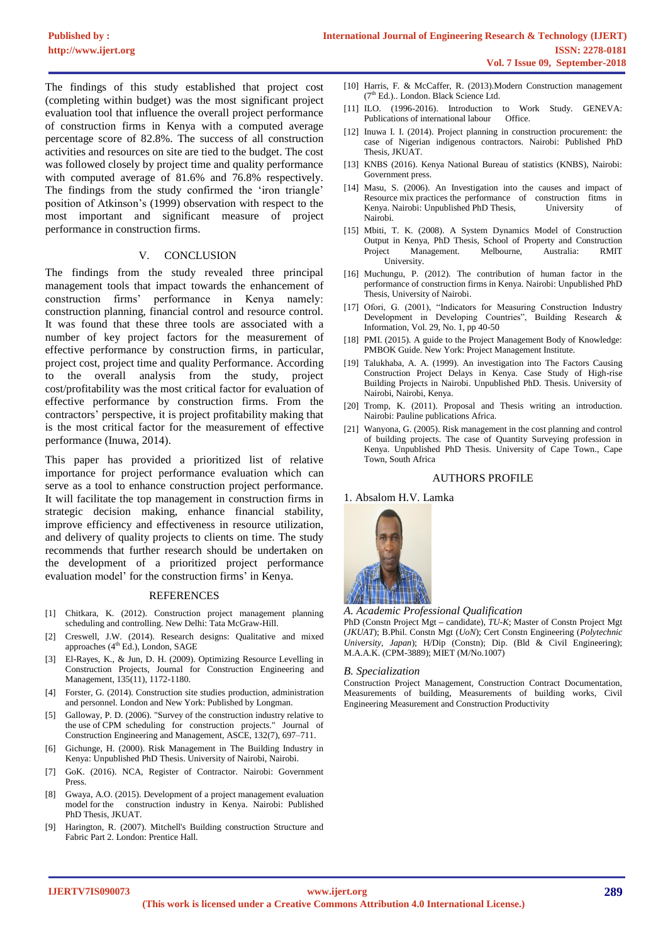The findings of this study established that project cost (completing within budget) was the most significant project evaluation tool that influence the overall project performance of construction firms in Kenya with a computed average percentage score of 82.8%. The success of all construction activities and resources on site are tied to the budget. The cost was followed closely by project time and quality performance with computed average of 81.6% and 76.8% respectively. The findings from the study confirmed the 'iron triangle' position of Atkinson's (1999) observation with respect to the most important and significant measure of project performance in construction firms.

#### V. CONCLUSION

The findings from the study revealed three principal management tools that impact towards the enhancement of construction firms' performance in Kenya namely: construction planning, financial control and resource control. It was found that these three tools are associated with a number of key project factors for the measurement of effective performance by construction firms, in particular, project cost, project time and quality Performance. According to the overall analysis from the study, project cost/profitability was the most critical factor for evaluation of effective performance by construction firms. From the contractors' perspective, it is project profitability making that is the most critical factor for the measurement of effective performance (Inuwa, 2014).

This paper has provided a prioritized list of relative importance for project performance evaluation which can serve as a tool to enhance construction project performance. It will facilitate the top management in construction firms in strategic decision making, enhance financial stability, improve efficiency and effectiveness in resource utilization, and delivery of quality projects to clients on time. The study recommends that further research should be undertaken on the development of a prioritized project performance evaluation model' for the construction firms' in Kenya.

#### REFERENCES

- [1] Chitkara, K. (2012). Construction project management planning scheduling and controlling. New Delhi: Tata McGraw-Hill.
- [2] Creswell, J.W. (2014). Research designs: Qualitative and mixed approaches (4<sup>th</sup> Ed.), London, SAGE
- [3] El-Rayes, K., & Jun, D. H. (2009). Optimizing Resource Levelling in Construction Projects, Journal for Construction Engineering and Management, 135(11), 1172-1180.
- [4] Forster, G. (2014). Construction site studies production, administration and personnel. London and New York: Published by Longman.
- [5] Galloway, P. D. (2006). "Survey of the construction industry relative to the use of CPM scheduling for construction projects." Journal of Construction Engineering and Management, ASCE, 132(7), 697–711.
- [6] Gichunge, H. (2000). Risk Management in The Building Industry in Kenya: Unpublished PhD Thesis. University of Nairobi, Nairobi.
- [7] GoK. (2016). NCA, Register of Contractor. Nairobi: Government Press.
- [8] Gwaya, A.O. (2015). Development of a project management evaluation model for the construction industry in Kenya. Nairobi: Published PhD Thesis, JKUAT.
- [9] Harington, R. (2007). Mitchell's Building construction Structure and Fabric Part 2. London: Prentice Hall.
- [10] Harris, F. & McCaffer, R. (2013).Modern Construction management (7<sup>th</sup> Ed.).. London. Black Science Ltd.
- [11] ILO. (1996-2016). Introduction to Work Study. GENEVA: Publications of international labour
- [12] Inuwa I. I. (2014). Project planning in construction procurement: the case of Nigerian indigenous contractors. Nairobi: Published PhD Thesis, JKUAT.
- [13] KNBS (2016). Kenya National Bureau of statistics (KNBS), Nairobi: Government press.
- [14] Masu, S. (2006). An Investigation into the causes and impact of Resource mix practices the performance of construction fitms in Kenya. Nairobi: Unpublished PhD Thesis, University of Nairobi.
- [15] Mbiti, T. K. (2008). A System Dynamics Model of Construction Output in Kenya, PhD Thesis, School of Property and Construction Project Management. Melbourne, Australia: University.
- [16] Muchungu, P. (2012). The contribution of human factor in the performance of construction firms in Kenya. Nairobi: Unpublished PhD Thesis, University of Nairobi.
- [17] Ofori, G. (2001), "Indicators for Measuring Construction Industry Development in Developing Countries", Building Research & Information, Vol. 29, No. 1, pp 40-50
- [18] PMI. (2015). A guide to the Project Management Body of Knowledge: PMBOK Guide. New York: Project Management Institute.
- [19] Talukhaba, A. A. (1999). An investigation into The Factors Causing Construction Project Delays in Kenya. Case Study of High-rise Building Projects in Nairobi. Unpublished PhD. Thesis. University of Nairobi, Nairobi, Kenya.
- [20] Tromp, K. (2011). Proposal and Thesis writing an introduction. Nairobi: Pauline publications Africa.
- [21] Wanyona, G. (2005). Risk management in the cost planning and control of building projects. The case of Quantity Surveying profession in Kenya. Unpublished PhD Thesis. University of Cape Town., Cape Town, South Africa

#### AUTHORS PROFILE

1. Absalom H.V. Lamka



#### *A. Academic Professional Qualification*

PhD (Constn Project Mgt **–** candidate), *TU-K*; Master of Constn Project Mgt (*JKUAT*); B.Phil. Constn Mgt (*UoN*); Cert Constn Engineering (*Polytechnic University, Japan*); H/Dip (Constn); Dip. (Bld & Civil Engineering); M.A.A.K. (CPM-3889); MIET (M/No.1007)

#### *B. Specialization*

Construction Project Management, Construction Contract Documentation, Measurements of building, Measurements of building works, Civil Engineering Measurement and Construction Productivity